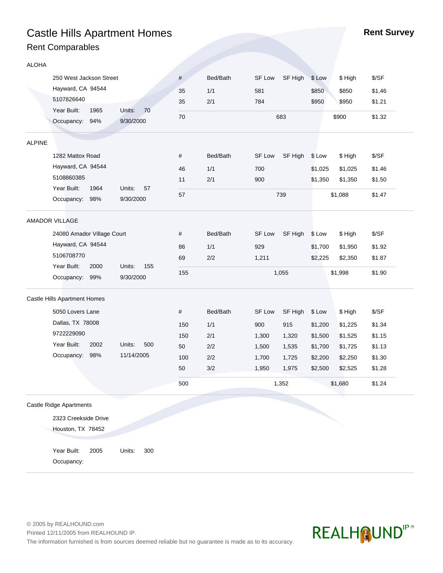# **Castle Hills Apartment Homes Rent Survey Rent Survey** Rent Comparables

| <b>ALOHA</b>  |                                |      |               |      |          |        |         |         |         |        |  |  |
|---------------|--------------------------------|------|---------------|------|----------|--------|---------|---------|---------|--------|--|--|
|               | 250 West Jackson Street        |      |               | #    | Bed/Bath | SF Low | SF High | \$ Low  | \$ High | \$/SF  |  |  |
|               | Hayward, CA 94544              |      |               | 35   | 1/1      | 581    |         | \$850   | \$850   | \$1.46 |  |  |
|               | 5107826640                     |      |               | 35   | 2/1      | 784    |         | \$950   | \$950   | \$1.21 |  |  |
|               | Year Built:                    | 1965 | Units:<br>70  |      |          |        |         |         |         |        |  |  |
|               | Occupancy: 94%                 |      | 9/30/2000     | 70   |          |        | 683     |         | \$900   | \$1.32 |  |  |
|               |                                |      |               |      |          |        |         |         |         |        |  |  |
| <b>ALPINE</b> |                                |      |               |      |          |        |         |         |         |        |  |  |
|               | 1282 Mattox Road               |      |               | #    | Bed/Bath | SF Low | SF High | \$ Low  | \$ High | \$/SF  |  |  |
|               | Hayward, CA 94544              |      |               | 46   | 1/1      | 700    |         | \$1,025 | \$1,025 | \$1.46 |  |  |
|               | 5108860385                     |      |               | 11   | 2/1      | 900    |         | \$1,350 | \$1,350 | \$1.50 |  |  |
|               | Year Built:                    | 1964 | Units:<br>57  | 57   |          |        | 739     |         | \$1,088 | \$1.47 |  |  |
|               | Occupancy: 98%                 |      | 9/30/2000     |      |          |        |         |         |         |        |  |  |
|               | AMADOR VILLAGE                 |      |               |      |          |        |         |         |         |        |  |  |
|               | 24080 Amador Village Court     |      |               | #    | Bed/Bath | SF Low | SF High | \$ Low  | \$ High | \$/SF  |  |  |
|               | Hayward, CA 94544              |      |               | 86   | 1/1      | 929    |         | \$1,700 | \$1,950 | \$1.92 |  |  |
|               | 5106708770                     |      |               | 69   | 2/2      | 1,211  |         | \$2,225 | \$2,350 | \$1.87 |  |  |
|               | Year Built:                    | 2000 | Units:<br>155 |      |          |        |         |         |         |        |  |  |
|               | Occupancy: 99%                 |      | 9/30/2000     | 155  |          |        | 1,055   |         | \$1,998 | \$1.90 |  |  |
|               | Castle Hills Apartment Homes   |      |               |      |          |        |         |         |         |        |  |  |
|               | 5050 Lovers Lane               |      |               | $\#$ | Bed/Bath | SF Low | SF High | \$ Low  | \$ High | \$/SF  |  |  |
|               | Dallas, TX 78008               |      |               | 150  | 1/1      | 900    | 915     | \$1,200 | \$1,225 | \$1.34 |  |  |
|               | 9722229090                     |      |               | 150  | 2/1      | 1,300  | 1,320   | \$1,500 | \$1,525 | \$1.15 |  |  |
|               | Year Built:                    | 2002 | 500<br>Units: | 50   | 2/2      | 1,500  | 1,535   | \$1,700 | \$1,725 | \$1.13 |  |  |
|               | Occupancy:                     | 98%  | 11/14/2005    | 100  | 2/2      | 1,700  | 1,725   | \$2,200 | \$2,250 | \$1.30 |  |  |
|               |                                |      |               | 50   | 3/2      | 1,950  | 1,975   | \$2,500 | \$2,525 | \$1.28 |  |  |
|               |                                |      |               | 500  |          |        | 1,352   |         | \$1,680 | \$1.24 |  |  |
|               |                                |      |               |      |          |        |         |         |         |        |  |  |
|               | <b>Castle Ridge Apartments</b> |      |               |      |          |        |         |         |         |        |  |  |
|               | 2323 Creekside Drive           |      |               |      |          |        |         |         |         |        |  |  |
|               | Houston, TX 78452              |      |               |      |          |        |         |         |         |        |  |  |
|               |                                |      |               |      |          |        |         |         |         |        |  |  |
|               | Year Built:                    | 2005 | Units:<br>300 |      |          |        |         |         |         |        |  |  |

Year Built: 2005 Occupancy:

© 2005 by REALHOUND.com Printed 12/11/2005 from REALHOUND IP. The information furnished is from sources deemed reliable but no guarantee is made as to its accuracy.

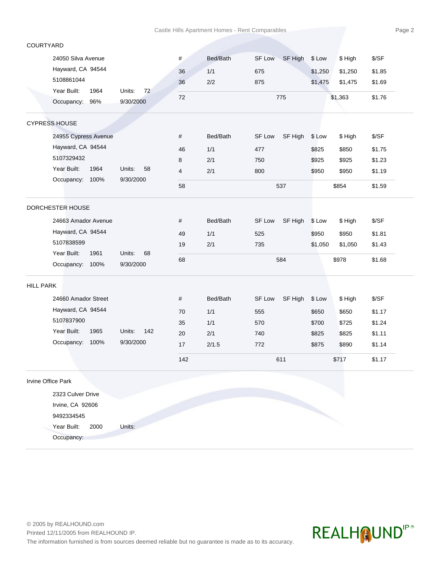# COURTYARD

Occupancy:

| 24050 Silva Avenue   |               | #    | Bed/Bath | <b>SF Low</b> | SF High | \$ Low  | \$ High | \$/SF  |
|----------------------|---------------|------|----------|---------------|---------|---------|---------|--------|
| Hayward, CA 94544    |               | 36   | 1/1      | 675           |         | \$1,250 | \$1,250 | \$1.85 |
| 5108861044           |               | 36   | 2/2      | 875           |         | \$1,475 | \$1,475 | \$1.69 |
| Year Built:<br>1964  | Units:<br>72  | 72   |          |               | 775     |         | \$1,363 | \$1.76 |
| Occupancy: 96%       | 9/30/2000     |      |          |               |         |         |         |        |
| CYPRESS HOUSE        |               |      |          |               |         |         |         |        |
| 24955 Cypress Avenue |               | $\#$ | Bed/Bath | SF Low        | SF High | \$ Low  | \$ High | \$/SF  |
| Hayward, CA 94544    |               | 46   | 1/1      | 477           |         | \$825   | \$850   | \$1.75 |
| 5107329432           |               | 8    | 2/1      | 750           |         | \$925   | \$925   | \$1.23 |
| Year Built:<br>1964  | Units:<br>58  | 4    | 2/1      | 800           |         | \$950   | \$950   | \$1.19 |
| Occupancy: 100%      | 9/30/2000     | 58   |          |               | 537     |         | \$854   | \$1.59 |
| DORCHESTER HOUSE     |               |      |          |               |         |         |         |        |
| 24663 Amador Avenue  |               | #    | Bed/Bath | SF Low        | SF High | \$ Low  | \$ High | \$/SF  |
| Hayward, CA 94544    |               | 49   | 1/1      | 525           |         | \$950   | \$950   | \$1.81 |
| 5107838599           |               | 19   | 2/1      | 735           |         | \$1,050 | \$1,050 | \$1.43 |
| Year Built:<br>1961  | Units:<br>68  | 68   |          |               | 584     |         |         | \$1.68 |
| Occupancy: 100%      | 9/30/2000     |      |          |               |         |         | \$978   |        |
| <b>HILL PARK</b>     |               |      |          |               |         |         |         |        |
| 24660 Amador Street  |               | #    | Bed/Bath | SF Low        | SF High | \$ Low  | \$ High | \$/SF  |
| Hayward, CA 94544    |               | 70   | 1/1      | 555           |         | \$650   | \$650   | \$1.17 |
| 5107837900           |               | 35   | 1/1      | 570           |         | \$700   | \$725   | \$1.24 |
| Year Built:<br>1965  | Units:<br>142 | 20   | 2/1      | 740           |         | \$825   | \$825   | \$1.11 |
| Occupancy: 100%      | 9/30/2000     | 17   | 2/1.5    | 772           |         | \$875   | \$890   | \$1.14 |
|                      |               | 142  |          |               | 611     |         | \$717   | \$1.17 |
| Irvine Office Park   |               |      |          |               |         |         |         |        |
| 2323 Culver Drive    |               |      |          |               |         |         |         |        |
| Irvine, CA 92606     |               |      |          |               |         |         |         |        |
| 9492334545           |               |      |          |               |         |         |         |        |
| Year Built:<br>2000  | Units:        |      |          |               |         |         |         |        |

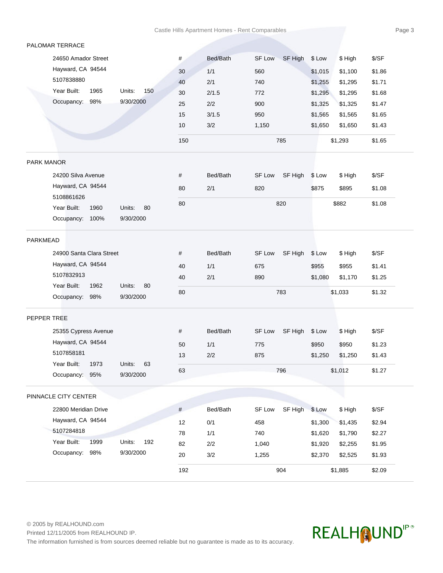# PALOMAR TERRACE

| 24650 Amador Street<br>Hayward, CA 94544<br>5107838880<br>Year Built:<br>Occupancy: |                       | 150 |          | 785                      |         | \$1,293 | \$1.65 |
|-------------------------------------------------------------------------------------|-----------------------|-----|----------|--------------------------|---------|---------|--------|
|                                                                                     |                       | 10  | 3/2      | 1.150                    | \$1,650 | \$1,650 | \$1.43 |
|                                                                                     |                       | 15  | 3/1.5    | 950                      | \$1,565 | \$1,565 | \$1.65 |
|                                                                                     | 98%<br>9/30/2000      | 25  | 2/2      | 900                      | \$1,325 | \$1,325 | \$1.47 |
|                                                                                     | Units:<br>1965<br>150 | 30  | 2/1.5    | 772                      | \$1,295 | \$1,295 | \$1.68 |
|                                                                                     |                       | 40  | 2/1      | 740                      | \$1,255 | \$1,295 | \$1.71 |
|                                                                                     |                       | 30  | 1/1      | 560                      | \$1,015 | \$1,100 | \$1.86 |
|                                                                                     |                       | #   | Bed/Bath | SF High<br><b>SF Low</b> | \$ Low  | \$ High | \$/SF  |

#### PARK MANOR

| 24200 Silva Avenue |      |           |     | #  | Bed/Bath | SF Low | SF High \$ Low |       | \$ Hiah | \$/SF  |
|--------------------|------|-----------|-----|----|----------|--------|----------------|-------|---------|--------|
| Hayward, CA 94544  |      |           |     | 80 | 2/1      | 820    |                | \$875 | \$895   | \$1.08 |
| 5108861626         |      |           |     |    |          |        |                |       |         |        |
| Year Built:        | 1960 | Units:    | -80 | 80 |          |        | 820            |       | \$882   | \$1.08 |
| Occupancy:         | 100% | 9/30/2000 |     |    |          |        |                |       |         |        |

### PARKMEAD

| 24900 Santa Clara Street                                               | #  | Bed/Bath | SF Low | SF High \$ Low |  | \$ High | \$/SF  |
|------------------------------------------------------------------------|----|----------|--------|----------------|--|---------|--------|
| Hayward, CA 94544                                                      | 40 | 1/1      | 675    |                |  | \$955   | \$1.41 |
| 5107832913                                                             | 40 | 2/1      | 890    |                |  | \$1.170 | \$1.25 |
| Year Built:<br>1962<br>Units:<br>-80<br>9/30/2000<br>98%<br>Occupancy: | 80 |          |        | 783            |  | \$1,033 | \$1.32 |

# PEPPER TREE

| 25355 Cypress Avenue |              | #  | Bed/Bath | SF High \$ Low<br>SF Low | \$ High            | \$/SF  |
|----------------------|--------------|----|----------|--------------------------|--------------------|--------|
| Hayward, CA 94544    |              | 50 | 1/1      | 775                      | \$950<br>\$950     | \$1.23 |
| 5107858181           |              | 13 | 2/2      | 875                      | \$1,250<br>\$1.250 | \$1.43 |
| Year Built:<br>1973  | Units:<br>63 |    |          |                          |                    | \$1.27 |
| 95%<br>Occupancy:    | 9/30/2000    | 63 |          | 796                      | \$1,012            |        |

#### PINNACLE CITY CENTER

|                      |      |           |     | 192 |          |        | 904            |         | \$1,885 | \$2.09 |
|----------------------|------|-----------|-----|-----|----------|--------|----------------|---------|---------|--------|
| Occupancy:           | 98%  | 9/30/2000 |     | 20  | 3/2      | 1,255  |                | \$2,370 | \$2,525 | \$1.93 |
| Year Built:          | 1999 | Units:    | 192 | 82  | 2/2      | 1.040  |                | \$1,920 | \$2,255 | \$1.95 |
| 5107284818           |      |           |     | 78  | 1/1      | 740    |                | \$1,620 | \$1,790 | \$2.27 |
| Hayward, CA 94544    |      |           |     | 12  | 0/1      | 458    |                | \$1,300 | \$1,435 | \$2.94 |
| 22800 Meridian Drive |      |           |     | #   | Bed/Bath | SF Low | SF High \$ Low |         | \$ High | \$/SF  |
|                      |      |           |     |     |          |        |                |         |         |        |